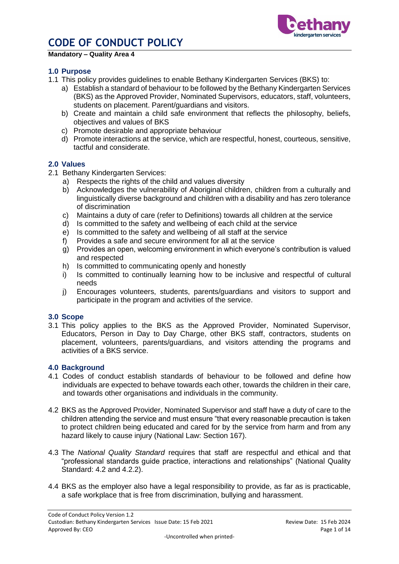

#### **Mandatory – Quality Area 4**

### **1.0 Purpose**

- 1.1 This policy provides guidelines to enable Bethany Kindergarten Services (BKS) to:
	- a) Establish a standard of behaviour to be followed by the Bethany Kindergarten Services (BKS) as the Approved Provider, Nominated Supervisors, educators, staff, volunteers, students on placement. Parent/guardians and visitors.
	- b) Create and maintain a child safe environment that reflects the philosophy, beliefs, objectives and values of BKS
	- c) Promote desirable and appropriate behaviour
	- d) Promote interactions at the service, which are respectful, honest, courteous, sensitive, tactful and considerate.

#### **2.0 Values**

- 2.1 Bethany Kindergarten Services:
	- a) Respects the rights of the child and values diversity
	- b) Acknowledges the vulnerability of Aboriginal children, children from a culturally and linguistically diverse background and children with a disability and has zero tolerance of discrimination
	- c) Maintains a duty of care (refer to Definitions) towards all children at the service
	- d) Is committed to the safety and wellbeing of each child at the service
	- e) Is committed to the safety and wellbeing of all staff at the service
	- f) Provides a safe and secure environment for all at the service
	- g) Provides an open, welcoming environment in which everyone's contribution is valued and respected
	- h) Is committed to communicating openly and honestly
	- i) Is committed to continually learning how to be inclusive and respectful of cultural needs
	- j) Encourages volunteers, students, parents/guardians and visitors to support and participate in the program and activities of the service.

#### **3.0 Scope**

3.1 This policy applies to the BKS as the Approved Provider, Nominated Supervisor, Educators, Person in Day to Day Charge, other BKS staff, contractors, students on placement, volunteers, parents/guardians, and visitors attending the programs and activities of a BKS service.

#### **4.0 Background**

- 4.1 Codes of conduct establish standards of behaviour to be followed and define how individuals are expected to behave towards each other, towards the children in their care, and towards other organisations and individuals in the community.
- 4.2 BKS as the Approved Provider, Nominated Supervisor and staff have a duty of care to the children attending the service and must ensure "that every reasonable precaution is taken to protect children being educated and cared for by the service from harm and from any hazard likely to cause injury (National Law: Section 167).
- 4.3 The *National Quality Standard* requires that staff are respectful and ethical and that "professional standards guide practice, interactions and relationships" (National Quality Standard: 4.2 and 4.2.2).
- 4.4 BKS as the employer also have a legal responsibility to provide, as far as is practicable, a safe workplace that is free from discrimination, bullying and harassment.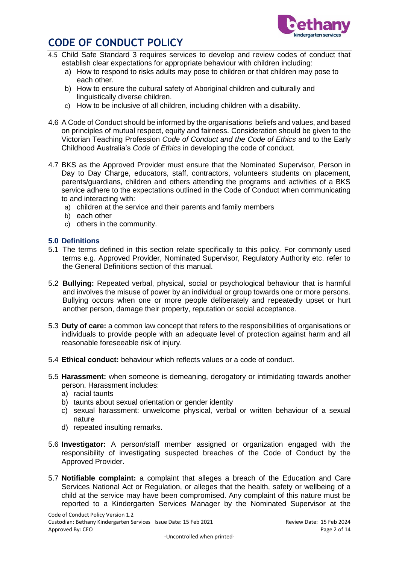

- 4.5 Child Safe Standard 3 requires services to develop and review codes of conduct that establish clear expectations for appropriate behaviour with children including:
	- a) How to respond to risks adults may pose to children or that children may pose to each other.
	- b) How to ensure the cultural safety of Aboriginal children and culturally and linguistically diverse children.
	- c) How to be inclusive of all children, including children with a disability.
- 4.6 A Code of Conduct should be informed by the organisations beliefs and values, and based on principles of mutual respect, equity and fairness. Consideration should be given to the Victorian Teaching Profession *Code of Conduct and the Code of Ethics* and to the Early Childhood Australia's *Code of Ethics* in developing the code of conduct.
- 4.7 BKS as the Approved Provider must ensure that the Nominated Supervisor, Person in Day to Day Charge, educators, staff, contractors, volunteers students on placement, parents/guardians, children and others attending the programs and activities of a BKS service adhere to the expectations outlined in the Code of Conduct when communicating to and interacting with:
	- a) children at the service and their parents and family members
	- b) each other
	- c) others in the community.

### **5.0 Definitions**

- 5.1 The terms defined in this section relate specifically to this policy. For commonly used terms e.g. Approved Provider, Nominated Supervisor, Regulatory Authority etc. refer to the General Definitions section of this manual.
- 5.2 **Bullying:** Repeated verbal, physical, social or psychological behaviour that is harmful and involves the misuse of power by an individual or group towards one or more persons. Bullying occurs when one or more people deliberately and repeatedly upset or hurt another person, damage their property, reputation or social acceptance.
- 5.3 **Duty of care:** a common law concept that refers to the responsibilities of organisations or individuals to provide people with an adequate level of protection against harm and all reasonable foreseeable risk of injury.
- 5.4 **Ethical conduct:** behaviour which reflects values or a code of conduct.
- 5.5 **Harassment:** when someone is demeaning, derogatory or intimidating towards another person. Harassment includes:
	- a) racial taunts
	- b) taunts about sexual orientation or gender identity
	- c) sexual harassment: unwelcome physical, verbal or written behaviour of a sexual nature
	- d) repeated insulting remarks.
- 5.6 **Investigator:** A person/staff member assigned or organization engaged with the responsibility of investigating suspected breaches of the Code of Conduct by the Approved Provider.
- 5.7 **Notifiable complaint:** a complaint that alleges a breach of the Education and Care Services National Act or Regulation, or alleges that the health, safety or wellbeing of a child at the service may have been compromised. Any complaint of this nature must be reported to a Kindergarten Services Manager by the Nominated Supervisor at the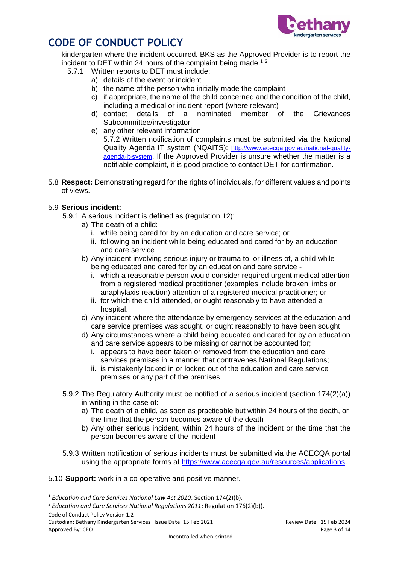

kindergarten where the incident occurred. BKS as the Approved Provider is to report the incident to DET within 24 hours of the complaint being made.<sup>12</sup>

- 5.7.1 Written reports to DET must include:
	- a) details of the event or incident
	- b) the name of the person who initially made the complaint
	- c) if appropriate, the name of the child concerned and the condition of the child, including a medical or incident report (where relevant)
	- d) contact details of a nominated member of the Grievances Subcommittee/investigator
	- e) any other relevant information 5.7.2 Written notification of complaints must be submitted via the National Quality Agenda IT system (NQAITS): [http://www.acecqa.gov.au/national-quality](http://www.acecqa.gov.au/national-quality-agenda-it-system)[agenda-it-system](http://www.acecqa.gov.au/national-quality-agenda-it-system). If the Approved Provider is unsure whether the matter is a notifiable complaint, it is good practice to contact DET for confirmation.
- 5.8 **Respect:** Demonstrating regard for the rights of individuals, for different values and points of views.

### 5.9 **Serious incident:**

- 5.9.1 A serious incident is defined as (regulation 12):
	- a) The death of a child:
		- i. while being cared for by an education and care service; or
		- ii. following an incident while being educated and cared for by an education and care service
	- b) Any incident involving serious injury or trauma to, or illness of, a child while being educated and cared for by an education and care service
		- i. which a reasonable person would consider required urgent medical attention from a registered medical practitioner (examples include broken limbs or anaphylaxis reaction) attention of a registered medical practitioner; or
		- ii. for which the child attended, or ought reasonably to have attended a hospital.
	- c) Any incident where the attendance by emergency services at the education and care service premises was sought, or ought reasonably to have been sought
	- d) Any circumstances where a child being educated and cared for by an education and care service appears to be missing or cannot be accounted for;
		- i. appears to have been taken or removed from the education and care services premises in a manner that contravenes National Regulations;
		- ii. is mistakenly locked in or locked out of the education and care service premises or any part of the premises.
- 5.9.2 The Regulatory Authority must be notified of a serious incident (section 174(2)(a)) in writing in the case of:
	- a) The death of a child, as soon as practicable but within 24 hours of the death, or the time that the person becomes aware of the death
	- b) Any other serious incident, within 24 hours of the incident or the time that the person becomes aware of the incident
- 5.9.3 Written notification of serious incidents must be submitted via the ACECQA portal using the appropriate forms at [https://www.acecqa.gov.au/resources/applications.](https://www.acecqa.gov.au/resources/applications)
- 5.10 **Support:** work in a co-operative and positive manner.

**.** 

<sup>1</sup> *Education and Care Services National Law Act 2010*: Section 174(2)(b).

<sup>2</sup> *Education and Care Services National Regulations 2011*: Regulation 176(2)(b)).

Code of Conduct Policy Version 1.2 Custodian: Bethany Kindergarten Services Issue Date: 15 Feb 2021 Review Date: 15 Feb 2024 Approved By: CEO Page 3 of 14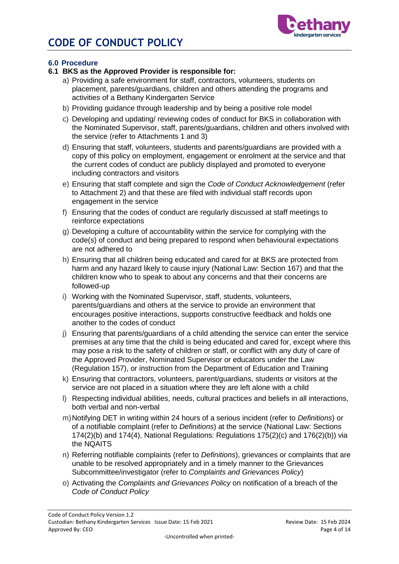

### **6.0 Procedure**

### **6.1 BKS as the Approved Provider is responsible for:**

- a) Providing a safe environment for staff, contractors, volunteers, students on placement, parents/guardians, children and others attending the programs and activities of a Bethany Kindergarten Service
- b) Providing guidance through leadership and by being a positive role model
- c) Developing and updating/ reviewing codes of conduct for BKS in collaboration with the Nominated Supervisor, staff, parents/guardians, children and others involved with the service (refer to Attachments 1 and 3)
- d) Ensuring that staff, volunteers, students and parents/guardians are provided with a copy of this policy on employment, engagement or enrolment at the service and that the current codes of conduct are publicly displayed and promoted to everyone including contractors and visitors
- e) Ensuring that staff complete and sign the *Code of Conduct Acknowledgement* (refer to Attachment 2) and that these are filed with individual staff records upon engagement in the service
- f) Ensuring that the codes of conduct are regularly discussed at staff meetings to reinforce expectations
- g) Developing a culture of accountability within the service for complying with the code(s) of conduct and being prepared to respond when behavioural expectations are not adhered to
- h) Ensuring that all children being educated and cared for at BKS are protected from harm and any hazard likely to cause injury (National Law: Section 167) and that the children know who to speak to about any concerns and that their concerns are followed-up
- i) Working with the Nominated Supervisor, staff, students, volunteers, parents/guardians and others at the service to provide an environment that encourages positive interactions, supports constructive feedback and holds one another to the codes of conduct
- j) Ensuring that parents/guardians of a child attending the service can enter the service premises at any time that the child is being educated and cared for, except where this may pose a risk to the safety of children or staff, or conflict with any duty of care of the Approved Provider, Nominated Supervisor or educators under the Law (Regulation 157), or instruction from the Department of Education and Training
- k) Ensuring that contractors, volunteers, parent/guardians, students or visitors at the service are not placed in a situation where they are left alone with a child
- l) Respecting individual abilities, needs, cultural practices and beliefs in all interactions, both verbal and non-verbal
- m)Notifying DET in writing within 24 hours of a serious incident (refer to *Definitions*) or of a notifiable complaint (refer to *Definitions*) at the service (National Law: Sections 174(2)(b) and 174(4), National Regulations: Regulations 175(2)(c) and 176(2)(b)) via the NQAITS
- n) Referring notifiable complaints (refer to *Definitions*), grievances or complaints that are unable to be resolved appropriately and in a timely manner to the Grievances Subcommittee/investigator (refer to *Complaints and Grievances Policy*)
- o) Activating the *Complaints and Grievances Policy* on notification of a breach of the *Code of Conduct Policy*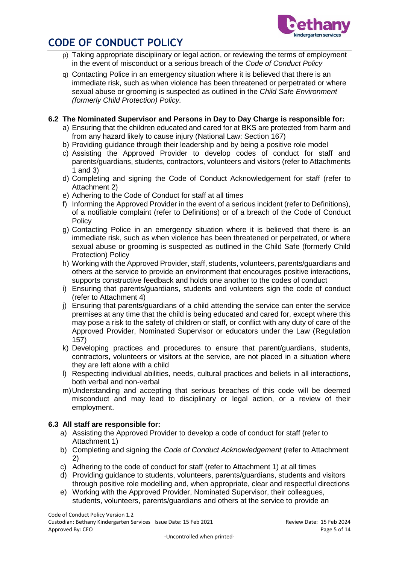

- p) Taking appropriate disciplinary or legal action, or reviewing the terms of employment in the event of misconduct or a serious breach of the *Code of Conduct Policy*
- q) Contacting Police in an emergency situation where it is believed that there is an immediate risk, such as when violence has been threatened or perpetrated or where sexual abuse or grooming is suspected as outlined in the *Child Safe Environment (formerly Child Protection) Policy.*

### **6.2 The Nominated Supervisor and Persons in Day to Day Charge is responsible for:**

- a) Ensuring that the children educated and cared for at BKS are protected from harm and from any hazard likely to cause injury (National Law: Section 167)
- b) Providing guidance through their leadership and by being a positive role model
- c) Assisting the Approved Provider to develop codes of conduct for staff and parents/guardians, students, contractors, volunteers and visitors (refer to Attachments 1 and 3)
- d) Completing and signing the Code of Conduct Acknowledgement for staff (refer to Attachment 2)
- e) Adhering to the Code of Conduct for staff at all times
- f) Informing the Approved Provider in the event of a serious incident (refer to Definitions), of a notifiable complaint (refer to Definitions) or of a breach of the Code of Conduct **Policy**
- g) Contacting Police in an emergency situation where it is believed that there is an immediate risk, such as when violence has been threatened or perpetrated, or where sexual abuse or grooming is suspected as outlined in the Child Safe (formerly Child Protection) Policy
- h) Working with the Approved Provider, staff, students, volunteers, parents/guardians and others at the service to provide an environment that encourages positive interactions, supports constructive feedback and holds one another to the codes of conduct
- i) Ensuring that parents/guardians, students and volunteers sign the code of conduct (refer to Attachment 4)
- j) Ensuring that parents/guardians of a child attending the service can enter the service premises at any time that the child is being educated and cared for, except where this may pose a risk to the safety of children or staff, or conflict with any duty of care of the Approved Provider, Nominated Supervisor or educators under the Law (Regulation 157)
- k) Developing practices and procedures to ensure that parent/guardians, students, contractors, volunteers or visitors at the service, are not placed in a situation where they are left alone with a child
- l) Respecting individual abilities, needs, cultural practices and beliefs in all interactions, both verbal and non-verbal
- m)Understanding and accepting that serious breaches of this code will be deemed misconduct and may lead to disciplinary or legal action, or a review of their employment.

### **6.3 All staff are responsible for:**

- a) Assisting the Approved Provider to develop a code of conduct for staff (refer to Attachment 1)
- b) Completing and signing the *Code of Conduct Acknowledgement* (refer to Attachment 2)
- c) Adhering to the code of conduct for staff (refer to Attachment 1) at all times
- d) Providing guidance to students, volunteers, parents/guardians, students and visitors through positive role modelling and, when appropriate, clear and respectful directions
- e) Working with the Approved Provider, Nominated Supervisor, their colleagues, students, volunteers, parents/guardians and others at the service to provide an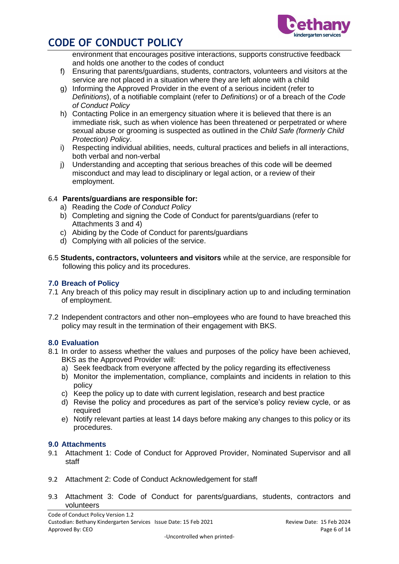

environment that encourages positive interactions, supports constructive feedback and holds one another to the codes of conduct

- f) Ensuring that parents/guardians, students, contractors, volunteers and visitors at the service are not placed in a situation where they are left alone with a child
- g) Informing the Approved Provider in the event of a serious incident (refer to *Definitions*), of a notifiable complaint (refer to *Definitions*) or of a breach of the *Code of Conduct Policy*
- h) Contacting Police in an emergency situation where it is believed that there is an immediate risk, such as when violence has been threatened or perpetrated or where sexual abuse or grooming is suspected as outlined in the *Child Safe (formerly Child Protection) Policy*.
- i) Respecting individual abilities, needs, cultural practices and beliefs in all interactions, both verbal and non-verbal
- j) Understanding and accepting that serious breaches of this code will be deemed misconduct and may lead to disciplinary or legal action, or a review of their employment.

### 6.4 **Parents/guardians are responsible for:**

- a) Reading the *Code of Conduct Policy*
- b) Completing and signing the Code of Conduct for parents/guardians (refer to Attachments 3 and 4)
- c) Abiding by the Code of Conduct for parents/guardians
- d) Complying with all policies of the service.
- 6.5 **Students, contractors, volunteers and visitors** while at the service, are responsible for following this policy and its procedures.

### **7.0 Breach of Policy**

- 7.1 Any breach of this policy may result in disciplinary action up to and including termination of employment.
- 7.2 Independent contractors and other non–employees who are found to have breached this policy may result in the termination of their engagement with BKS.

### **8.0 Evaluation**

- 8.1 In order to assess whether the values and purposes of the policy have been achieved, BKS as the Approved Provider will:
	- a) Seek feedback from everyone affected by the policy regarding its effectiveness
	- b) Monitor the implementation, compliance, complaints and incidents in relation to this policy
	- c) Keep the policy up to date with current legislation, research and best practice
	- d) Revise the policy and procedures as part of the service's policy review cycle, or as required
	- e) Notify relevant parties at least 14 days before making any changes to this policy or its procedures.

### **9.0 Attachments**

- 9.1 Attachment 1: Code of Conduct for Approved Provider, Nominated Supervisor and all staff
- 9.2 Attachment 2: Code of Conduct Acknowledgement for staff
- 9.3 Attachment 3: Code of Conduct for parents/guardians, students, contractors and volunteers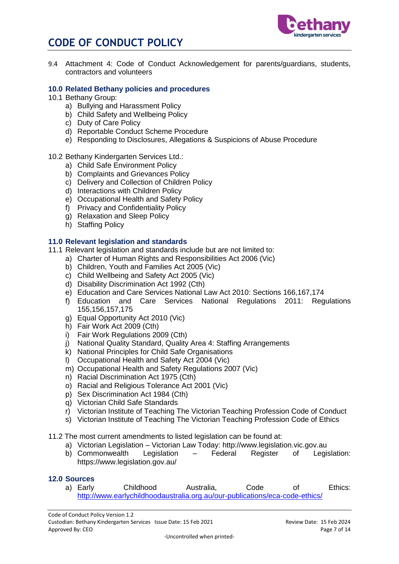



9.4 Attachment 4: Code of Conduct Acknowledgement for parents/guardians, students, contractors and volunteers

#### **10.0 Related Bethany policies and procedures**

- 10.1 Bethany Group:
	- a) Bullying and Harassment Policy
	- b) Child Safety and Wellbeing Policy
	- c) Duty of Care Policy
	- d) Reportable Conduct Scheme Procedure
	- e) Responding to Disclosures, Allegations & Suspicions of Abuse Procedure
- 10.2 Bethany Kindergarten Services Ltd.:
	- a) Child Safe Environment Policy
	- b) Complaints and Grievances Policy
	- c) Delivery and Collection of Children Policy
	- d) Interactions with Children Policy
	- e) Occupational Health and Safety Policy
	- f) Privacy and Confidentiality Policy
	- g) Relaxation and Sleep Policy
	- h) Staffing Policy

### **11.0 Relevant legislation and standards**

- 11.1 Relevant legislation and standards include but are not limited to:
	- a) Charter of Human Rights and Responsibilities Act 2006 (Vic)
	- b) Children, Youth and Families Act 2005 (Vic)
	- c) Child Wellbeing and Safety Act 2005 (Vic)
	- d) Disability Discrimination Act 1992 (Cth)
	- e) Education and Care Services National Law Act 2010: Sections 166,167,174
	- f) Education and Care Services National Regulations 2011: Regulations 155,156,157,175
	- g) Equal Opportunity Act 2010 (Vic)
	- h) Fair Work Act 2009 (Cth)
	- i) Fair Work Regulations 2009 (Cth)
	- j) National Quality Standard, Quality Area 4: Staffing Arrangements
	- k) National Principles for Child Safe Organisations
	- l) Occupational Health and Safety Act 2004 (Vic)
	- m) Occupational Health and Safety Regulations 2007 (Vic)
	- n) Racial Discrimination Act 1975 (Cth)
	- o) Racial and Religious Tolerance Act 2001 (Vic)
	- p) Sex Discrimination Act 1984 (Cth)
	- q) Victorian Child Safe Standards
	- r) Victorian Institute of Teaching The Victorian Teaching Profession Code of Conduct
	- s) Victorian Institute of Teaching The Victorian Teaching Profession Code of Ethics
- 11.2 The most current amendments to listed legislation can be found at:
	- a) Victorian Legislation Victorian Law Today: http://www.legislation.vic.gov.au
	- b) Commonwealth Legislation Federal Register of Legislation: https://www.legislation.gov.au/

#### **12.0 Sources**

a) Early Childhood Australia, Code of Ethics: <http://www.earlychildhoodaustralia.org.au/our-publications/eca-code-ethics/>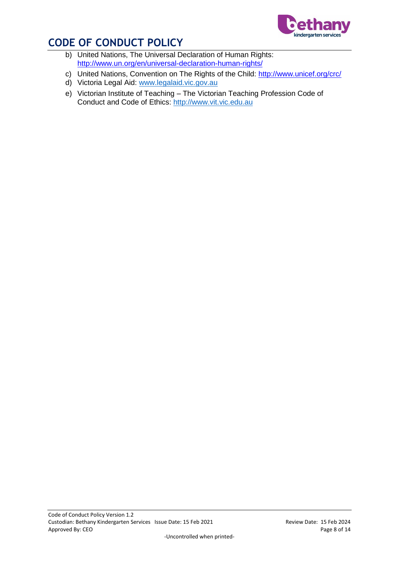

- b) United Nations, The Universal Declaration of Human Rights: <http://www.un.org/en/universal-declaration-human-rights/>
- c) United Nations, Convention on The Rights of the Child:<http://www.unicef.org/crc/>
- d) Victoria Legal Aid: [www.legalaid.vic.gov.au](http://www.legalaid.vic.gov.au/)
- e) Victorian Institute of Teaching The Victorian Teaching Profession Code of Conduct and Code of Ethics: [http://www.vit.vic.edu.au](http://www.vit.vic.edu.au/)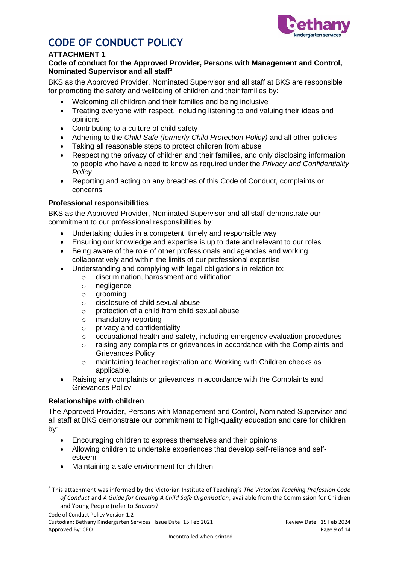

### **ATTACHMENT 1**

### **Code of conduct for the Approved Provider, Persons with Management and Control, Nominated Supervisor and all staff<sup>3</sup>**

BKS as the Approved Provider, Nominated Supervisor and all staff at BKS are responsible for promoting the safety and wellbeing of children and their families by:

- Welcoming all children and their families and being inclusive
- Treating everyone with respect, including listening to and valuing their ideas and opinions
- Contributing to a culture of child safety
- Adhering to the *Child Safe (formerly Child Protection Policy)* and all other policies
- Taking all reasonable steps to protect children from abuse
- Respecting the privacy of children and their families, and only disclosing information to people who have a need to know as required under the *Privacy and Confidentiality Policy*
- Reporting and acting on any breaches of this Code of Conduct, complaints or concerns.

### **Professional responsibilities**

BKS as the Approved Provider, Nominated Supervisor and all staff demonstrate our commitment to our professional responsibilities by:

- Undertaking duties in a competent, timely and responsible way
- Ensuring our knowledge and expertise is up to date and relevant to our roles
- Being aware of the role of other professionals and agencies and working collaboratively and within the limits of our professional expertise
- Understanding and complying with legal obligations in relation to:
	- o discrimination, harassment and vilification
	- o negligence
	- o grooming
	- o disclosure of child sexual abuse
	- o protection of a child from child sexual abuse
	- o mandatory reporting
	- o privacy and confidentiality
	- $\circ$  occupational health and safety, including emergency evaluation procedures
	- $\circ$  raising any complaints or grievances in accordance with the Complaints and Grievances Policy
	- o maintaining teacher registration and Working with Children checks as applicable.
- Raising any complaints or grievances in accordance with the Complaints and Grievances Policy.

### **Relationships with children**

1

The Approved Provider, Persons with Management and Control, Nominated Supervisor and all staff at BKS demonstrate our commitment to high-quality education and care for children by:

- Encouraging children to express themselves and their opinions
- Allowing children to undertake experiences that develop self-reliance and selfesteem
- Maintaining a safe environment for children

<sup>3</sup> This attachment was informed by the Victorian Institute of Teaching's *The Victorian Teaching Profession Code of Conduct* and *A Guide for Creating A Child Safe Organisation*, available from the Commission for Children and Young People (refer to *Sources)*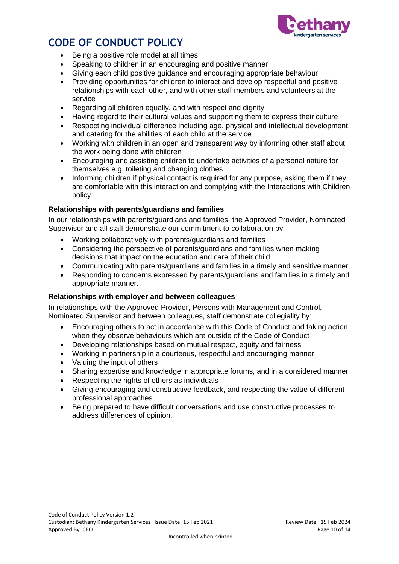

- Being a positive role model at all times
- Speaking to children in an encouraging and positive manner
- Giving each child positive guidance and encouraging appropriate behaviour
- Providing opportunities for children to interact and develop respectful and positive relationships with each other, and with other staff members and volunteers at the service
- Regarding all children equally, and with respect and dignity
- Having regard to their cultural values and supporting them to express their culture
- Respecting individual difference including age, physical and intellectual development, and catering for the abilities of each child at the service
- Working with children in an open and transparent way by informing other staff about the work being done with children
- Encouraging and assisting children to undertake activities of a personal nature for themselves e.g. toileting and changing clothes
- Informing children if physical contact is required for any purpose, asking them if they are comfortable with this interaction and complying with the Interactions with Children policy.

### **Relationships with parents/guardians and families**

In our relationships with parents/guardians and families, the Approved Provider, Nominated Supervisor and all staff demonstrate our commitment to collaboration by:

- Working collaboratively with parents/guardians and families
- Considering the perspective of parents/guardians and families when making decisions that impact on the education and care of their child
- Communicating with parents/guardians and families in a timely and sensitive manner
- Responding to concerns expressed by parents/guardians and families in a timely and appropriate manner.

### **Relationships with employer and between colleagues**

In relationships with the Approved Provider, Persons with Management and Control, Nominated Supervisor and between colleagues, staff demonstrate collegiality by:

- Encouraging others to act in accordance with this Code of Conduct and taking action when they observe behaviours which are outside of the Code of Conduct
- Developing relationships based on mutual respect, equity and fairness
- Working in partnership in a courteous, respectful and encouraging manner
- Valuing the input of others
- Sharing expertise and knowledge in appropriate forums, and in a considered manner
- Respecting the rights of others as individuals
- Giving encouraging and constructive feedback, and respecting the value of different professional approaches
- Being prepared to have difficult conversations and use constructive processes to address differences of opinion.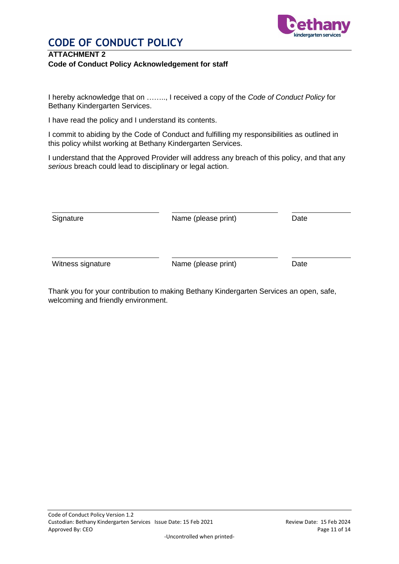

### **ATTACHMENT 2 Code of Conduct Policy Acknowledgement for staff**

I hereby acknowledge that on …….., I received a copy of the *Code of Conduct Policy* for Bethany Kindergarten Services.

I have read the policy and I understand its contents.

I commit to abiding by the Code of Conduct and fulfilling my responsibilities as outlined in this policy whilst working at Bethany Kindergarten Services.

I understand that the Approved Provider will address any breach of this policy, and that any *serious* breach could lead to disciplinary or legal action.

| Signature         | Name (please print) | Date |
|-------------------|---------------------|------|
|                   |                     |      |
| Witness signature | Name (please print) | Date |

Thank you for your contribution to making Bethany Kindergarten Services an open, safe, welcoming and friendly environment.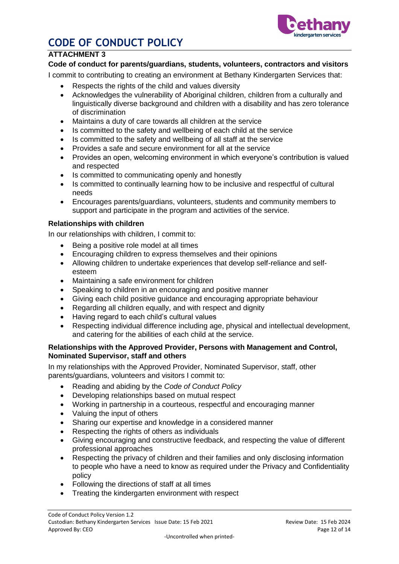

### **ATTACHMENT 3**

### **Code of conduct for parents/guardians, students, volunteers, contractors and visitors**

I commit to contributing to creating an environment at Bethany Kindergarten Services that:

- Respects the rights of the child and values diversity
- Acknowledges the vulnerability of Aboriginal children, children from a culturally and linguistically diverse background and children with a disability and has zero tolerance of discrimination
- Maintains a duty of care towards all children at the service
- Is committed to the safety and wellbeing of each child at the service
- Is committed to the safety and wellbeing of all staff at the service
- Provides a safe and secure environment for all at the service
- Provides an open, welcoming environment in which everyone's contribution is valued and respected
- Is committed to communicating openly and honestly
- Is committed to continually learning how to be inclusive and respectful of cultural needs
- Encourages parents/guardians, volunteers, students and community members to support and participate in the program and activities of the service.

### **Relationships with children**

In our relationships with children, I commit to:

- Being a positive role model at all times
- Encouraging children to express themselves and their opinions
- Allowing children to undertake experiences that develop self-reliance and selfesteem
- Maintaining a safe environment for children
- Speaking to children in an encouraging and positive manner
- Giving each child positive guidance and encouraging appropriate behaviour
- Regarding all children equally, and with respect and dignity
- Having regard to each child's cultural values
- Respecting individual difference including age, physical and intellectual development, and catering for the abilities of each child at the service.

### **Relationships with the Approved Provider, Persons with Management and Control, Nominated Supervisor, staff and others**

In my relationships with the Approved Provider, Nominated Supervisor, staff, other parents/guardians, volunteers and visitors I commit to:

- Reading and abiding by the *Code of Conduct Policy*
- Developing relationships based on mutual respect
- Working in partnership in a courteous, respectful and encouraging manner
- Valuing the input of others
- Sharing our expertise and knowledge in a considered manner
- Respecting the rights of others as individuals
- Giving encouraging and constructive feedback, and respecting the value of different professional approaches
- Respecting the privacy of children and their families and only disclosing information to people who have a need to know as required under the Privacy and Confidentiality policy
- Following the directions of staff at all times
- Treating the kindergarten environment with respect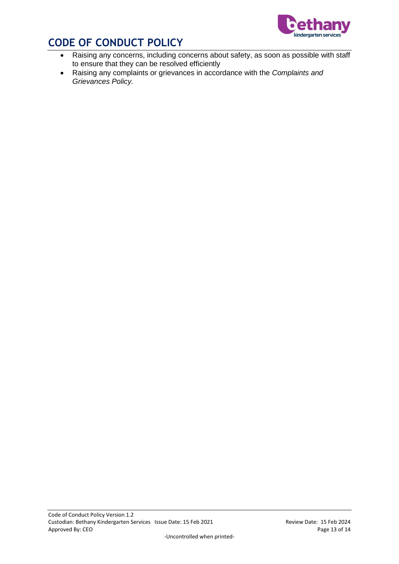

- Raising any concerns, including concerns about safety, as soon as possible with staff to ensure that they can be resolved efficiently
- Raising any complaints or grievances in accordance with the *Complaints and Grievances Policy.*